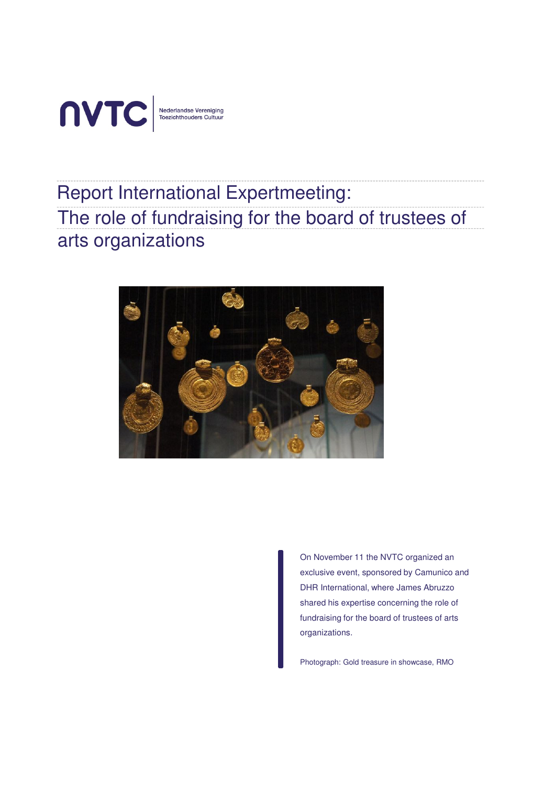

# Report International Expertmeeting: The role of fundraising for the board of trustees of arts organizations



On November 11 the NVTC organized an exclusive event, sponsored by Camunico and DHR International, where James Abruzzo shared his expertise concerning the role of fundraising for the board of trustees of arts organizations.

Photograph: Gold treasure in showcase, RMO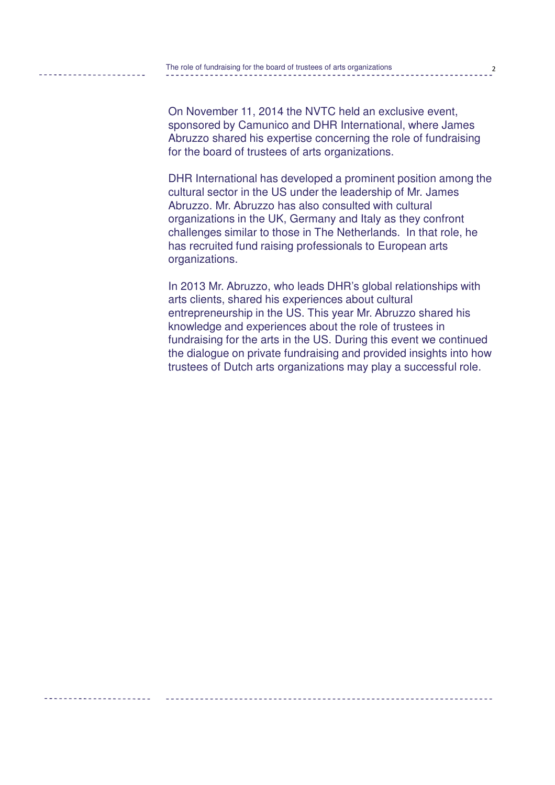On November 11, 2014 the NVTC held an exclusive event, sponsored by Camunico and DHR International, where James Abruzzo shared his expertise concerning the role of fundraising for the board of trustees of arts organizations.

DHR International has developed a prominent position among the cultural sector in the US under the leadership of Mr. James Abruzzo. Mr. Abruzzo has also consulted with cultural organizations in the UK, Germany and Italy as they confront challenges similar to those in The Netherlands. In that role, he has recruited fund raising professionals to European arts organizations.

In 2013 Mr. Abruzzo, who leads DHR's global relationships with arts clients, shared his experiences about cultural entrepreneurship in the US. This year Mr. Abruzzo shared his knowledge and experiences about the role of trustees in fundraising for the arts in the US. During this event we continued the dialogue on private fundraising and provided insights into how trustees of Dutch arts organizations may play a successful role.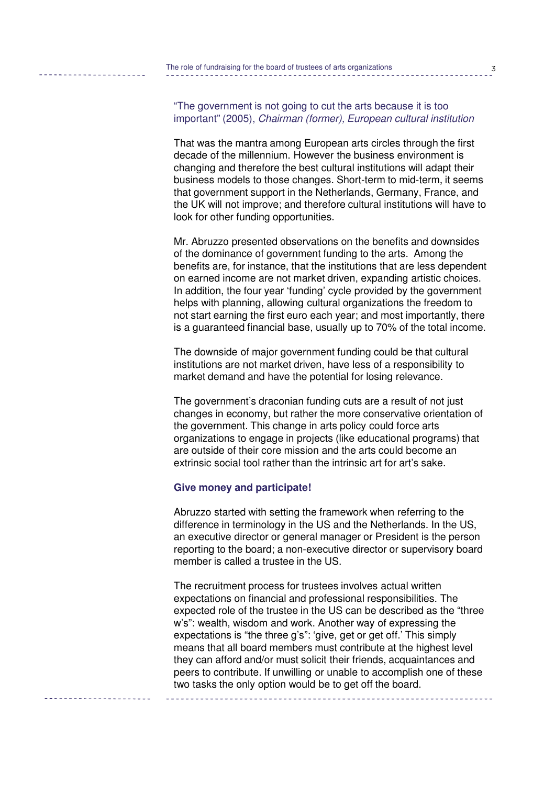"The government is not going to cut the arts because it is too important" (2005), Chairman (former), European cultural institution

That was the mantra among European arts circles through the first decade of the millennium. However the business environment is changing and therefore the best cultural institutions will adapt their business models to those changes. Short-term to mid-term, it seems that government support in the Netherlands, Germany, France, and the UK will not improve; and therefore cultural institutions will have to look for other funding opportunities.

Mr. Abruzzo presented observations on the benefits and downsides of the dominance of government funding to the arts. Among the benefits are, for instance, that the institutions that are less dependent on earned income are not market driven, expanding artistic choices. In addition, the four year 'funding' cycle provided by the government helps with planning, allowing cultural organizations the freedom to not start earning the first euro each year; and most importantly, there is a guaranteed financial base, usually up to 70% of the total income.

The downside of major government funding could be that cultural institutions are not market driven, have less of a responsibility to market demand and have the potential for losing relevance.

The government's draconian funding cuts are a result of not just changes in economy, but rather the more conservative orientation of the government. This change in arts policy could force arts organizations to engage in projects (like educational programs) that are outside of their core mission and the arts could become an extrinsic social tool rather than the intrinsic art for art's sake.

### **Give money and participate!**

Abruzzo started with setting the framework when referring to the difference in terminology in the US and the Netherlands. In the US, an executive director or general manager or President is the person reporting to the board; a non-executive director or supervisory board member is called a trustee in the US.

The recruitment process for trustees involves actual written expectations on financial and professional responsibilities. The expected role of the trustee in the US can be described as the "three w's": wealth, wisdom and work. Another way of expressing the expectations is "the three g's": 'give, get or get off.' This simply means that all board members must contribute at the highest level they can afford and/or must solicit their friends, acquaintances and peers to contribute. If unwilling or unable to accomplish one of these two tasks the only option would be to get off the board.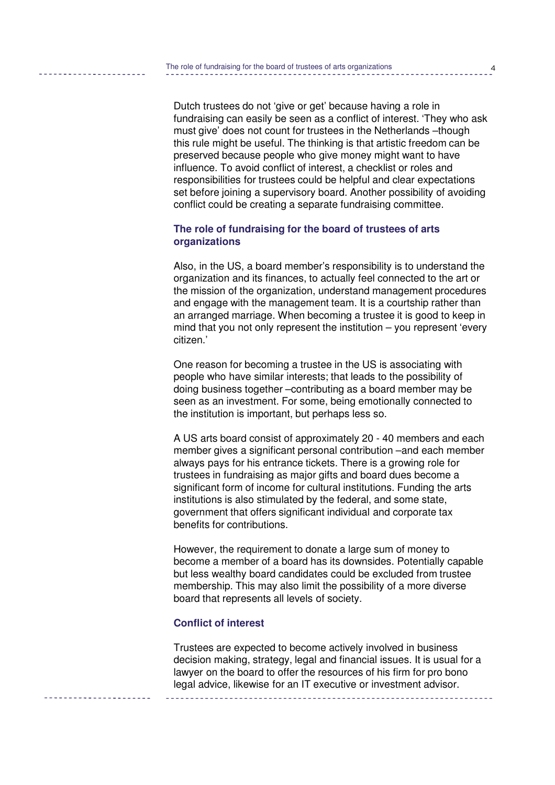Dutch trustees do not 'give or get' because having a role in fundraising can easily be seen as a conflict of interest. 'They who ask must give' does not count for trustees in the Netherlands –though this rule might be useful. The thinking is that artistic freedom can be preserved because people who give money might want to have influence. To avoid conflict of interest, a checklist or roles and responsibilities for trustees could be helpful and clear expectations set before joining a supervisory board. Another possibility of avoiding conflict could be creating a separate fundraising committee.

# **The role of fundraising for the board of trustees of arts organizations**

Also, in the US, a board member's responsibility is to understand the organization and its finances, to actually feel connected to the art or the mission of the organization, understand management procedures and engage with the management team. It is a courtship rather than an arranged marriage. When becoming a trustee it is good to keep in mind that you not only represent the institution – you represent 'every citizen.'

One reason for becoming a trustee in the US is associating with people who have similar interests; that leads to the possibility of doing business together –contributing as a board member may be seen as an investment. For some, being emotionally connected to the institution is important, but perhaps less so.

A US arts board consist of approximately 20 - 40 members and each member gives a significant personal contribution –and each member always pays for his entrance tickets. There is a growing role for trustees in fundraising as major gifts and board dues become a significant form of income for cultural institutions. Funding the arts institutions is also stimulated by the federal, and some state, government that offers significant individual and corporate tax benefits for contributions.

However, the requirement to donate a large sum of money to become a member of a board has its downsides. Potentially capable but less wealthy board candidates could be excluded from trustee membership. This may also limit the possibility of a more diverse board that represents all levels of society.

## **Conflict of interest**

Trustees are expected to become actively involved in business decision making, strategy, legal and financial issues. It is usual for a lawyer on the board to offer the resources of his firm for pro bono legal advice, likewise for an IT executive or investment advisor.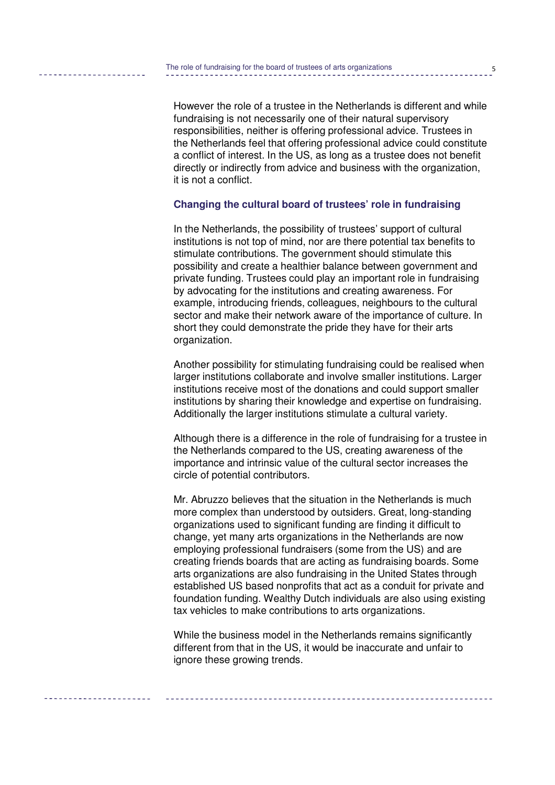However the role of a trustee in the Netherlands is different and while fundraising is not necessarily one of their natural supervisory responsibilities, neither is offering professional advice. Trustees in the Netherlands feel that offering professional advice could constitute a conflict of interest. In the US, as long as a trustee does not benefit directly or indirectly from advice and business with the organization, it is not a conflict.

## **Changing the cultural board of trustees' role in fundraising**

In the Netherlands, the possibility of trustees' support of cultural institutions is not top of mind, nor are there potential tax benefits to stimulate contributions. The government should stimulate this possibility and create a healthier balance between government and private funding. Trustees could play an important role in fundraising by advocating for the institutions and creating awareness. For example, introducing friends, colleagues, neighbours to the cultural sector and make their network aware of the importance of culture. In short they could demonstrate the pride they have for their arts organization.

Another possibility for stimulating fundraising could be realised when larger institutions collaborate and involve smaller institutions. Larger institutions receive most of the donations and could support smaller institutions by sharing their knowledge and expertise on fundraising. Additionally the larger institutions stimulate a cultural variety.

Although there is a difference in the role of fundraising for a trustee in the Netherlands compared to the US, creating awareness of the importance and intrinsic value of the cultural sector increases the circle of potential contributors.

Mr. Abruzzo believes that the situation in the Netherlands is much more complex than understood by outsiders. Great, long-standing organizations used to significant funding are finding it difficult to change, yet many arts organizations in the Netherlands are now employing professional fundraisers (some from the US) and are creating friends boards that are acting as fundraising boards. Some arts organizations are also fundraising in the United States through established US based nonprofits that act as a conduit for private and foundation funding. Wealthy Dutch individuals are also using existing tax vehicles to make contributions to arts organizations.

While the business model in the Netherlands remains significantly different from that in the US, it would be inaccurate and unfair to ignore these growing trends.

5